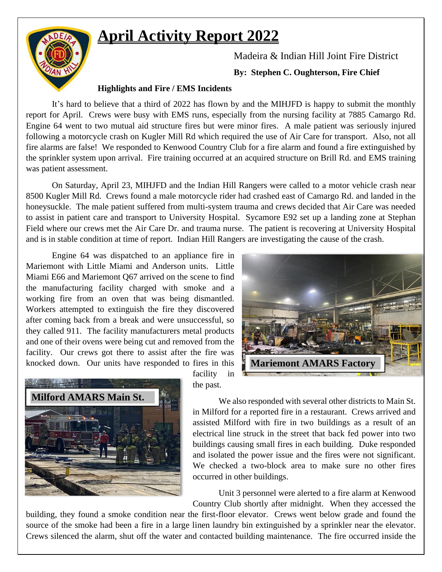## **April Activity Report 2022**



Madeira & Indian Hill Joint Fire District

**By: Stephen C. Oughterson, Fire Chief**

## **Highlights and Fire / EMS Incidents**

It's hard to believe that a third of 2022 has flown by and the MIHJFD is happy to submit the monthly report for April. Crews were busy with EMS runs, especially from the nursing facility at 7885 Camargo Rd. Engine 64 went to two mutual aid structure fires but were minor fires. A male patient was seriously injured following a motorcycle crash on Kugler Mill Rd which required the use of Air Care for transport. Also, not all fire alarms are false! We responded to Kenwood Country Club for a fire alarm and found a fire extinguished by the sprinkler system upon arrival. Fire training occurred at an acquired structure on Brill Rd. and EMS training was patient assessment.

On Saturday, April 23, MIHJFD and the Indian Hill Rangers were called to a motor vehicle crash near 8500 Kugler Mill Rd. Crews found a male motorcycle rider had crashed east of Camargo Rd. and landed in the honeysuckle. The male patient suffered from multi-system trauma and crews decided that Air Care was needed to assist in patient care and transport to University Hospital. Sycamore E92 set up a landing zone at Stephan Field where our crews met the Air Care Dr. and trauma nurse. The patient is recovering at University Hospital and is in stable condition at time of report. Indian Hill Rangers are investigating the cause of the crash.

Engine 64 was dispatched to an appliance fire in Mariemont with Little Miami and Anderson units. Little Miami E66 and Mariemont Q67 arrived on the scene to find the manufacturing facility charged with smoke and a working fire from an oven that was being dismantled. Workers attempted to extinguish the fire they discovered after coming back from a break and were unsuccessful, so they called 911. The facility manufacturers metal products and one of their ovens were being cut and removed from the facility. Our crews got there to assist after the fire was knocked down. Our units have responded to fires in this





facility in the past.

We also responded with several other districts to Main St. in Milford for a reported fire in a restaurant. Crews arrived and assisted Milford with fire in two buildings as a result of an electrical line struck in the street that back fed power into two buildings causing small fires in each building. Duke responded and isolated the power issue and the fires were not significant. We checked a two-block area to make sure no other fires occurred in other buildings.

Unit 3 personnel were alerted to a fire alarm at Kenwood Country Club shortly after midnight. When they accessed the

building, they found a smoke condition near the first-floor elevator. Crews went below grade and found the source of the smoke had been a fire in a large linen laundry bin extinguished by a sprinkler near the elevator. Crews silenced the alarm, shut off the water and contacted building maintenance. The fire occurred inside the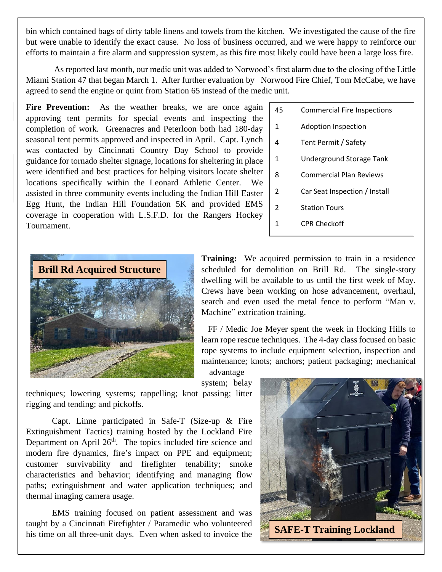bin which contained bags of dirty table linens and towels from the kitchen. We investigated the cause of the fire but were unable to identify the exact cause. No loss of business occurred, and we were happy to reinforce our efforts to maintain a fire alarm and suppression system, as this fire most likely could have been a large loss fire.

As reported last month, our medic unit was added to Norwood's first alarm due to the closing of the Little Miami Station 47 that began March 1. After further evaluation by Norwood Fire Chief, Tom McCabe, we have agreed to send the engine or quint from Station 65 instead of the medic unit.

Fire Prevention: As the weather breaks, we are once again approving tent permits for special events and inspecting the completion of work. Greenacres and Peterloon both had 180-day seasonal tent permits approved and inspected in April. Capt. Lynch was contacted by Cincinnati Country Day School to provide guidance for tornado shelter signage, locations for sheltering in place were identified and best practices for helping visitors locate shelter locations specifically within the Leonard Athletic Center. We assisted in three community events including the Indian Hill Easter Egg Hunt, the Indian Hill Foundation 5K and provided EMS coverage in cooperation with L.S.F.D. for the Rangers Hockey Tournament.

| 45 | <b>Commercial Fire Inspections</b> |
|----|------------------------------------|
| 1  | Adoption Inspection                |
| 4  | Tent Permit / Safety               |
| 1. | Underground Storage Tank           |
| 8  | Commercial Plan Reviews            |
| 2  | Car Seat Inspection / Install      |
|    |                                    |

- 2 Station Tours
- 1 CPR Checkoff



**Training:** We acquired permission to train in a residence scheduled for demolition on Brill Rd. The single-story dwelling will be available to us until the first week of May. Crews have been working on hose advancement, overhaul, search and even used the metal fence to perform "Man v. Machine" extrication training.

FF / Medic Joe Meyer spent the week in Hocking Hills to learn rope rescue techniques. The 4-day class focused on basic rope systems to include equipment selection, inspection and maintenance; knots; anchors; patient packaging; mechanical

advantage system; belay

techniques; lowering systems; rappelling; knot passing; litter rigging and tending; and pickoffs.

Capt. Linne participated in Safe-T (Size-up & Fire Extinguishment Tactics) training hosted by the Lockland Fire Department on April  $26<sup>th</sup>$ . The topics included fire science and modern fire dynamics, fire's impact on PPE and equipment; customer survivability and firefighter tenability; smoke characteristics and behavior; identifying and managing flow paths; extinguishment and water application techniques; and thermal imaging camera usage.

EMS training focused on patient assessment and was taught by a Cincinnati Firefighter / Paramedic who volunteered his time on all three-unit days. Even when asked to invoice the

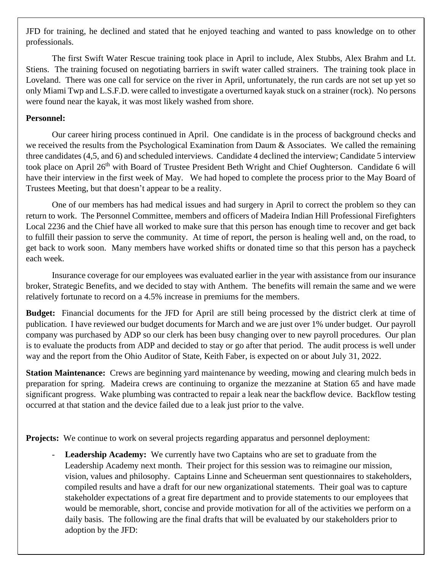JFD for training, he declined and stated that he enjoyed teaching and wanted to pass knowledge on to other professionals.

The first Swift Water Rescue training took place in April to include, Alex Stubbs, Alex Brahm and Lt. Stiens. The training focused on negotiating barriers in swift water called strainers. The training took place in Loveland. There was one call for service on the river in April, unfortunately, the run cards are not set up yet so only Miami Twp and L.S.F.D. were called to investigate a overturned kayak stuck on a strainer (rock). No persons were found near the kayak, it was most likely washed from shore.

## **Personnel:**

Our career hiring process continued in April. One candidate is in the process of background checks and we received the results from the Psychological Examination from Daum & Associates. We called the remaining three candidates (4,5, and 6) and scheduled interviews. Candidate 4 declined the interview; Candidate 5 interview took place on April 26<sup>th</sup> with Board of Trustee President Beth Wright and Chief Oughterson. Candidate 6 will have their interview in the first week of May. We had hoped to complete the process prior to the May Board of Trustees Meeting, but that doesn't appear to be a reality.

One of our members has had medical issues and had surgery in April to correct the problem so they can return to work. The Personnel Committee, members and officers of Madeira Indian Hill Professional Firefighters Local 2236 and the Chief have all worked to make sure that this person has enough time to recover and get back to fulfill their passion to serve the community. At time of report, the person is healing well and, on the road, to get back to work soon. Many members have worked shifts or donated time so that this person has a paycheck each week.

Insurance coverage for our employees was evaluated earlier in the year with assistance from our insurance broker, Strategic Benefits, and we decided to stay with Anthem. The benefits will remain the same and we were relatively fortunate to record on a 4.5% increase in premiums for the members.

**Budget:** Financial documents for the JFD for April are still being processed by the district clerk at time of publication. I have reviewed our budget documents for March and we are just over 1% under budget. Our payroll company was purchased by ADP so our clerk has been busy changing over to new payroll procedures. Our plan is to evaluate the products from ADP and decided to stay or go after that period. The audit process is well under way and the report from the Ohio Auditor of State, Keith Faber, is expected on or about July 31, 2022.

**Station Maintenance:** Crews are beginning yard maintenance by weeding, mowing and clearing mulch beds in preparation for spring. Madeira crews are continuing to organize the mezzanine at Station 65 and have made significant progress. Wake plumbing was contracted to repair a leak near the backflow device. Backflow testing occurred at that station and the device failed due to a leak just prior to the valve.

**Projects:** We continue to work on several projects regarding apparatus and personnel deployment:

**Leadership Academy:** We currently have two Captains who are set to graduate from the Leadership Academy next month. Their project for this session was to reimagine our mission, vision, values and philosophy. Captains Linne and Scheuerman sent questionnaires to stakeholders, compiled results and have a draft for our new organizational statements. Their goal was to capture stakeholder expectations of a great fire department and to provide statements to our employees that would be memorable, short, concise and provide motivation for all of the activities we perform on a daily basis. The following are the final drafts that will be evaluated by our stakeholders prior to adoption by the JFD: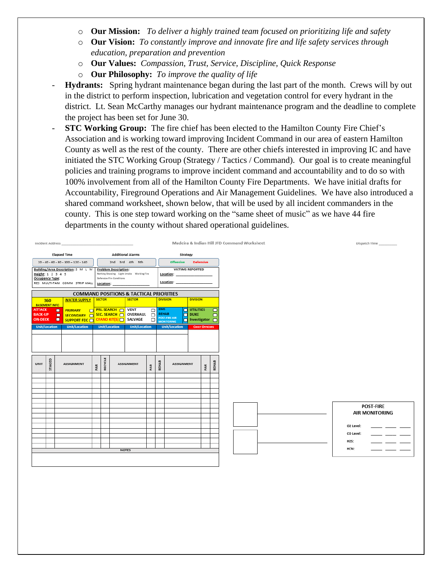- o **Our Mission:** *To deliver a highly trained team focused on prioritizing life and safety*
- o **Our Vision:** *To constantly improve and innovate fire and life safety services through education, preparation and prevention*
- o **Our Values:** *Compassion, Trust, Service, Discipline, Quick Response*
- o **Our Philosophy:** *To improve the quality of life*
- **Hydrants:** Spring hydrant maintenance began during the last part of the month. Crews will by out in the district to perform inspection, lubrication and vegetation control for every hydrant in the district. Lt. Sean McCarthy manages our hydrant maintenance program and the deadline to complete the project has been set for June 30.
- **STC Working Group:** The fire chief has been elected to the Hamilton County Fire Chief's Association and is working toward improving Incident Command in our area of eastern Hamilton County as well as the rest of the county. There are other chiefs interested in improving IC and have initiated the STC Working Group (Strategy / Tactics / Command). Our goal is to create meaningful policies and training programs to improve incident command and accountability and to do so with 100% involvement from all of the Hamilton County Fire Departments. We have initial drafts for Accountability, Fireground Operations and Air Management Guidelines. We have also introduced a shared command worksheet, shown below, that will be used by all incident commanders in the county. This is one step toward working on the "same sheet of music" as we have 44 fire departments in the county without shared operational guidelines.

|                                                                           | Incident Address         |                                                                     |     |               |                                                                              |                                                    |                  |            | Madeira & Indian Hill JFD Command Worksheet                    |                                                 |     |                            |
|---------------------------------------------------------------------------|--------------------------|---------------------------------------------------------------------|-----|---------------|------------------------------------------------------------------------------|----------------------------------------------------|------------------|------------|----------------------------------------------------------------|-------------------------------------------------|-----|----------------------------|
|                                                                           |                          | <b>Elapsed Time</b>                                                 |     |               |                                                                              | <b>Additional Alarms</b>                           |                  |            | Strategy                                                       |                                                 |     |                            |
|                                                                           |                          | $20 - 40 - 60 - 80 - 100 - 120 - 140$                               |     |               |                                                                              | 2nd 3rd 4th 5th                                    |                  |            | <b>Offensive</b>                                               | <b>Defensive</b>                                |     |                            |
| Occupancy Type:                                                           | Height: 1 2 3 4 5        | Building/Area Description: S M L M<br>RES MULTI-FAM COMM STRIP MALL |     | Location:     | <b>Problem Description:</b><br>Defensive Fire Conditions                     | Nothing Showing Light Smoke Working Fire           |                  |            | <b>VICTIMS REPORTED</b><br>Location:<br>Location:              |                                                 |     |                            |
|                                                                           |                          |                                                                     |     |               |                                                                              | <b>COMMAND POSITIONS &amp; TACTICAL PRIORITIES</b> |                  |            |                                                                |                                                 |     |                            |
| 360                                                                       |                          | <b>WATER SUPPLY</b>                                                 |     | <b>SECTOR</b> |                                                                              | <b>SECTOR</b>                                      |                  |            | <b>DIVISION</b>                                                | <b>DIVISION</b>                                 |     |                            |
| <b>BASEMENT INFO</b><br><b>ATTACK</b><br><b>BACK-UP</b><br><b>ON-DECK</b> | o<br>o<br>$\blacksquare$ | <b>PRIMARY</b><br>$\Box$<br>SECONDARY O<br>SUPPORT FDC              |     |               | <b>PRI. SEARCH O</b><br>SEC. SEARCH<br><b>CYANO KIT(S) <math>\Box</math></b> | <b>VENT</b><br>OVERHAUL O<br>SALVAGE               | $\Box$<br>$\Box$ | <b>EMS</b> | <b>REHAB</b><br><b>POST-FIRE AIR</b><br>n<br><b>MONITORING</b> | $\Box$ UTILITIES<br>$\Box$ DUKE<br>Investigator |     | $\Box$<br>$\Box$<br>$\Box$ |
| <b>Unit/Location</b>                                                      |                          | <b>Unit/Location</b>                                                |     |               | <b>Unit/Location</b>                                                         | <b>Unit/Location</b>                               |                  |            | <b>Unit/Location</b>                                           | <b>CHIEF OFFICERS</b>                           |     |                            |
|                                                                           |                          |                                                                     |     |               |                                                                              |                                                    |                  |            |                                                                |                                                 |     |                            |
| <b>UNIT</b>                                                               | STAGED                   | <b>ASSIGNMENT</b>                                                   | PAR | RECYCLE       |                                                                              | <b>ASSIGNMENT</b>                                  | PAR              | REHAB      | <b>ASSIGNMENT</b>                                              |                                                 | PAR | REHAB                      |
|                                                                           |                          |                                                                     |     |               |                                                                              |                                                    |                  |            |                                                                |                                                 |     |                            |
|                                                                           |                          |                                                                     |     |               |                                                                              |                                                    |                  |            |                                                                |                                                 |     |                            |
|                                                                           |                          |                                                                     |     |               |                                                                              |                                                    |                  |            |                                                                |                                                 |     |                            |
|                                                                           |                          |                                                                     |     |               |                                                                              |                                                    |                  |            |                                                                |                                                 |     |                            |
|                                                                           |                          |                                                                     |     |               |                                                                              |                                                    |                  |            |                                                                |                                                 |     |                            |
|                                                                           |                          |                                                                     |     |               |                                                                              |                                                    |                  |            |                                                                |                                                 |     |                            |
|                                                                           |                          |                                                                     |     |               |                                                                              |                                                    |                  |            |                                                                |                                                 |     |                            |
|                                                                           |                          |                                                                     |     |               |                                                                              |                                                    |                  |            |                                                                |                                                 |     |                            |
|                                                                           |                          |                                                                     |     |               |                                                                              | <b>NOTES</b>                                       |                  |            |                                                                |                                                 |     |                            |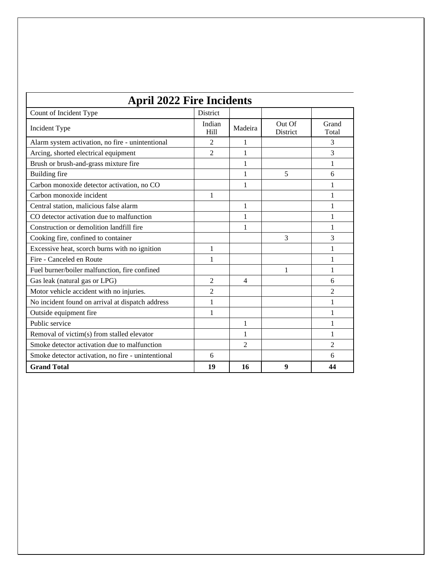| <b>April 2022 Fire Incidents</b>                   |                 |                |                    |                |  |  |  |
|----------------------------------------------------|-----------------|----------------|--------------------|----------------|--|--|--|
| Count of Incident Type                             | <b>District</b> |                |                    |                |  |  |  |
| Incident Type                                      | Indian<br>Hill  | Madeira        | Out Of<br>District | Grand<br>Total |  |  |  |
| Alarm system activation, no fire - unintentional   | $\overline{c}$  | 1              |                    | 3              |  |  |  |
| Arcing, shorted electrical equipment               | $\overline{2}$  | 1              |                    | 3              |  |  |  |
| Brush or brush-and-grass mixture fire              |                 | 1              |                    | 1              |  |  |  |
| Building fire                                      |                 | 1              | 5                  | 6              |  |  |  |
| Carbon monoxide detector activation, no CO         |                 | 1              |                    | 1              |  |  |  |
| Carbon monoxide incident                           | 1               |                |                    | 1              |  |  |  |
| Central station, malicious false alarm             |                 | 1              |                    | 1              |  |  |  |
| CO detector activation due to malfunction          |                 | 1              |                    | 1              |  |  |  |
| Construction or demolition landfill fire           |                 | 1              |                    | 1              |  |  |  |
| Cooking fire, confined to container                |                 |                | 3                  | 3              |  |  |  |
| Excessive heat, scorch burns with no ignition      | 1               |                |                    | 1              |  |  |  |
| Fire - Canceled en Route                           | 1               |                |                    | 1              |  |  |  |
| Fuel burner/boiler malfunction, fire confined      |                 |                | 1                  | 1              |  |  |  |
| Gas leak (natural gas or LPG)                      | 2               | 4              |                    | 6              |  |  |  |
| Motor vehicle accident with no injuries.           | 2               |                |                    | 2              |  |  |  |
| No incident found on arrival at dispatch address   | 1               |                |                    | 1              |  |  |  |
| Outside equipment fire                             | 1               |                |                    | 1              |  |  |  |
| Public service                                     |                 | 1              |                    | 1              |  |  |  |
| Removal of victim(s) from stalled elevator         |                 | 1              |                    | 1              |  |  |  |
| Smoke detector activation due to malfunction       |                 | $\mathfrak{D}$ |                    | $\mathfrak{D}$ |  |  |  |
| Smoke detector activation, no fire - unintentional | 6               |                |                    | 6              |  |  |  |
| <b>Grand Total</b>                                 | 19              | 16             | 9                  | 44             |  |  |  |